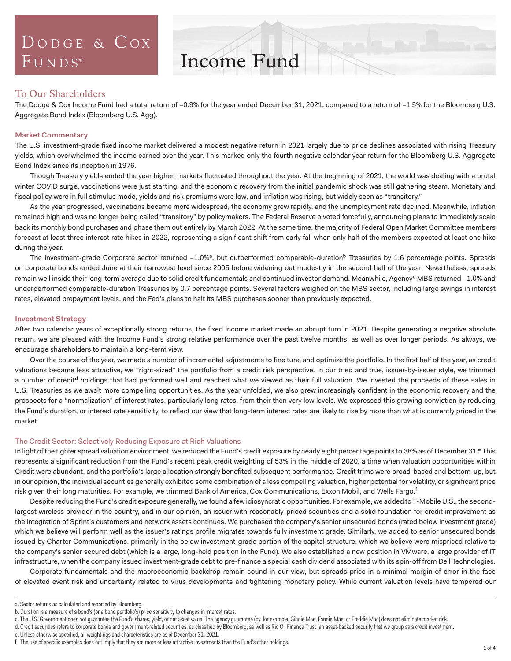# DODGE & COX  $FUNDS<sup>°</sup>$

# Income Fund

## To Our Shareholders

The Dodge & Cox Income Fund had a total return of –0.9% for the year ended December 31, 2021, compared to a return of –1.5% for the Bloomberg U.S. Aggregate Bond Index (Bloomberg U.S. Agg).

## **Market Commentary**

The U.S. investment-grade fixed income market delivered a modest negative return in 2021 largely due to price declines associated with rising Treasury yields, which overwhelmed the income earned over the year. This marked only the fourth negative calendar year return for the Bloomberg U.S. Aggregate Bond Index since its inception in 1976.

Though Treasury yields ended the year higher, markets fluctuated throughout the year. At the beginning of 2021, the world was dealing with a brutal winter COVID surge, vaccinations were just starting, and the economic recovery from the initial pandemic shock was still gathering steam. Monetary and fiscal policy were in full stimulus mode, yields and risk premiums were low, and inflation was rising, but widely seen as "transitory."

As the year progressed, vaccinations became more widespread, the economy grew rapidly, and the unemployment rate declined. Meanwhile, inflation remained high and was no longer being called "transitory" by policymakers. The Federal Reserve pivoted forcefully, announcing plans to immediately scale back its monthly bond purchases and phase them out entirely by March 2022. At the same time, the majority of Federal Open Market Committee members forecast at least three interest rate hikes in 2022, representing a significant shift from early fall when only half of the members expected at least one hike during the year.

The investment-grade Corporate sector returned -1.0%<sup>a</sup>, but outperformed comparable-duration<sup>b</sup> Treasuries by 1.6 percentage points. Spreads on corporate bonds ended June at their narrowest level since 2005 before widening out modestly in the second half of the year. Nevertheless, spreads remain well inside their long-term average due to solid credit fundamentals and continued investor demand. Meanwhile, Agency<sup>c</sup> MBS returned -1.0% and underperformed comparable-duration Treasuries by 0.7 percentage points. Several factors weighed on the MBS sector, including large swings in interest rates, elevated prepayment levels, and the Fed's plans to halt its MBS purchases sooner than previously expected.

## **Investment Strategy**

After two calendar years of exceptionally strong returns, the fixed income market made an abrupt turn in 2021. Despite generating a negative absolute return, we are pleased with the Income Fund's strong relative performance over the past twelve months, as well as over longer periods. As always, we encourage shareholders to maintain a long-term view.

Over the course of the year, we made a number of incremental adjustments to fine tune and optimize the portfolio. In the first half of the year, as credit valuations became less attractive, we "right-sized" the portfolio from a credit risk perspective. In our tried and true, issuer-by-issuer style, we trimmed a number of credit<sup>d</sup> holdings that had performed well and reached what we viewed as their full valuation. We invested the proceeds of these sales in U.S. Treasuries as we await more compelling opportunities. As the year unfolded, we also grew increasingly confident in the economic recovery and the prospects for a "normalization" of interest rates, particularly long rates, from their then very low levels. We expressed this growing conviction by reducing the Fund's duration, or interest rate sensitivity, to reflect our view that long-term interest rates are likely to rise by more than what is currently priced in the market.

### The Credit Sector: Selectively Reducing Exposure at Rich Valuations

In light of the tighter spread valuation environment, we reduced the Fund's credit exposure by nearly eight percentage points to 38% as of December 31.<sup>e</sup> This represents a significant reduction from the Fund's recent peak credit weighting of 53% in the middle of 2020, a time when valuation opportunities within Credit were abundant, and the portfolio's large allocation strongly benefited subsequent performance. Credit trims were broad-based and bottom-up, but in our opinion, the individual securities generally exhibited some combination of a less compelling valuation, higher potential for volatility, or significant price risk given their long maturities. For example, we trimmed Bank of America, Cox Communications, Exxon Mobil, and Wells Fargo.<sup>f</sup>

Despite reducing the Fund's credit exposure generally, we found a few idiosyncratic opportunities. For example, we added to T-Mobile U.S., the secondlargest wireless provider in the country, and in our opinion, an issuer with reasonably-priced securities and a solid foundation for credit improvement as the integration of Sprint's customers and network assets continues. We purchased the company's senior unsecured bonds (rated below investment grade) which we believe will perform well as the issuer's ratings profile migrates towards fully investment grade. Similarly, we added to senior unsecured bonds issued by Charter Communications, primarily in the below investment-grade portion of the capital structure, which we believe were mispriced relative to the company's senior secured debt (which is a large, long-held position in the Fund). We also established a new position in VMware, a large provider of IT infrastructure, when the company issued investment-grade debt to pre-finance a special cash dividend associated with its spin-off from Dell Technologies.

Corporate fundamentals and the macroeconomic backdrop remain sound in our view, but spreads price in a minimal margin of error in the face of elevated event risk and uncertainty related to virus developments and tightening monetary policy. While current valuation levels have tempered our

a. Sector returns as calculated and reported by Bloomberg.

b. Duration is a measure of a bond's (or a bond portfolio's) price sensitivity to changes in interest rates.

c. The U.S. Government does not guarantee the Fund's shares, yield, or net asset value. The agency guarantee (by, for example, Ginnie Mae, Fannie Mae, or Freddie Mac) does not eliminate market risk.

d. Credit securities refers to corporate bonds and government-related securities, as classified by Bloomberg, as well as Rio Oil Finance Trust, an asset-backed security that we group as a credit investment.

e. Unless otherwise specified, all weightings and characteristics are as of December 31, 2021.

f. The use of specific examples does not imply that they are more or less attractive investments than the Fund's other holdings.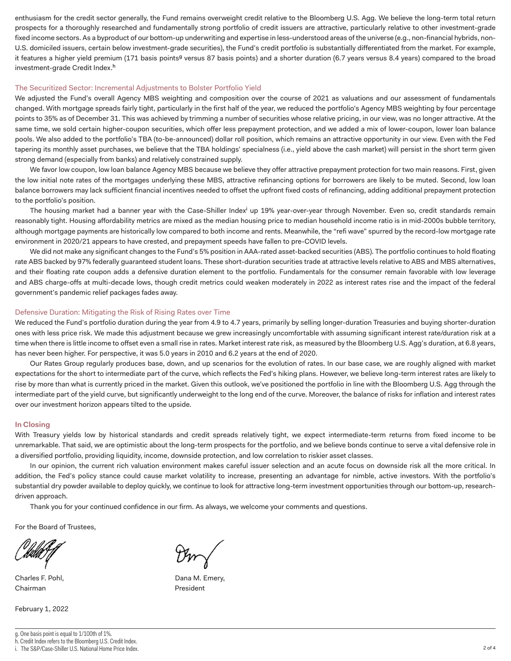enthusiasm for the credit sector generally, the Fund remains overweight credit relative to the Bloomberg U.S. Agg. We believe the long-term total return prospects for a thoroughly researched and fundamentally strong portfolio of credit issuers are attractive, particularly relative to other investment-grade fixed income sectors. As a byproduct of our bottom-up underwriting and expertise in less-understood areas of the universe (e.g., non-financial hybrids, non-U.S. domiciled issuers, certain below investment-grade securities), the Fund's credit portfolio is substantially differentiated from the market. For example, it features a higher yield premium (171 basis points<sup>g</sup> versus 87 basis points) and a shorter duration (6.7 years versus 8.4 years) compared to the broad investment-grade Credit Index.h

### The Securitized Sector: Incremental Adjustments to Bolster Portfolio Yield

We adjusted the Fund's overall Agency MBS weighting and composition over the course of 2021 as valuations and our assessment of fundamentals changed. With mortgage spreads fairly tight, particularly in the first half of the year, we reduced the portfolio's Agency MBS weighting by four percentage points to 35% as of December 31. This was achieved by trimming a number of securities whose relative pricing, in our view, was no longer attractive. At the same time, we sold certain higher-coupon securities, which offer less prepayment protection, and we added a mix of lower-coupon, lower loan balance pools. We also added to the portfolio's TBA (to-be-announced) dollar roll position, which remains an attractive opportunity in our view. Even with the Fed tapering its monthly asset purchases, we believe that the TBA holdings' specialness (i.e., yield above the cash market) will persist in the short term given strong demand (especially from banks) and relatively constrained supply.

We favor low coupon, low loan balance Agency MBS because we believe they offer attractive prepayment protection for two main reasons. First, given the low initial note rates of the mortgages underlying these MBS, attractive refinancing options for borrowers are likely to be muted. Second, low loan balance borrowers may lack sufficient financial incentives needed to offset the upfront fixed costs of refinancing, adding additional prepayment protection to the portfolio's position.

The housing market had a banner year with the Case-Shiller Index<sup>i</sup> up 19% year-over-year through November. Even so, credit standards remain reasonably tight. Housing affordability metrics are mixed as the median housing price to median household income ratio is in mid-2000s bubble territory, although mortgage payments are historically low compared to both income and rents. Meanwhile, the "refi wave" spurred by the record-low mortgage rate environment in 2020/21 appears to have crested, and prepayment speeds have fallen to pre-COVID levels.

We did not make any significant changes to the Fund's 5% position in AAA-rated asset-backed securities (ABS). The portfolio continues to hold floating rate ABS backed by 97% federally guaranteed student loans. These short-duration securities trade at attractive levels relative to ABS and MBS alternatives, and their floating rate coupon adds a defensive duration element to the portfolio. Fundamentals for the consumer remain favorable with low leverage and ABS charge-offs at multi-decade lows, though credit metrics could weaken moderately in 2022 as interest rates rise and the impact of the federal government's pandemic relief packages fades away.

## Defensive Duration: Mitigating the Risk of Rising Rates over Time

We reduced the Fund's portfolio duration during the year from 4.9 to 4.7 years, primarily by selling longer-duration Treasuries and buying shorter-duration ones with less price risk. We made this adjustment because we grew increasingly uncomfortable with assuming significant interest rate/duration risk at a time when there is little income to offset even a small rise in rates. Market interest rate risk, as measured by the Bloomberg U.S. Agg's duration, at 6.8 years, has never been higher. For perspective, it was 5.0 years in 2010 and 6.2 years at the end of 2020.

Our Rates Group regularly produces base, down, and up scenarios for the evolution of rates. In our base case, we are roughly aligned with market expectations for the short to intermediate part of the curve, which reflects the Fed's hiking plans. However, we believe long-term interest rates are likely to rise by more than what is currently priced in the market. Given this outlook, we've positioned the portfolio in line with the Bloomberg U.S. Agg through the intermediate part of the yield curve, but significantly underweight to the long end of the curve. Moreover, the balance of risks for inflation and interest rates over our investment horizon appears tilted to the upside.

### **In Closing**

With Treasury yields low by historical standards and credit spreads relatively tight, we expect intermediate-term returns from fixed income to be unremarkable. That said, we are optimistic about the long-term prospects for the portfolio, and we believe bonds continue to serve a vital defensive role in a diversified portfolio, providing liquidity, income, downside protection, and low correlation to riskier asset classes.

In our opinion, the current rich valuation environment makes careful issuer selection and an acute focus on downside risk all the more critical. In addition, the Fed's policy stance could cause market volatility to increase, presenting an advantage for nimble, active investors. With the portfolio's substantial dry powder available to deploy quickly, we continue to look for attractive long-term investment opportunities through our bottom-up, researchdriven approach.

Thank you for your continued confidence in our firm. As always, we welcome your comments and questions.

For the Board of Trustees,

Chairman **President** 

February 1, 2022

Charles F. Pohl, The Charles F. Pohl, The Charles E. Pohl, Dana M. Emery,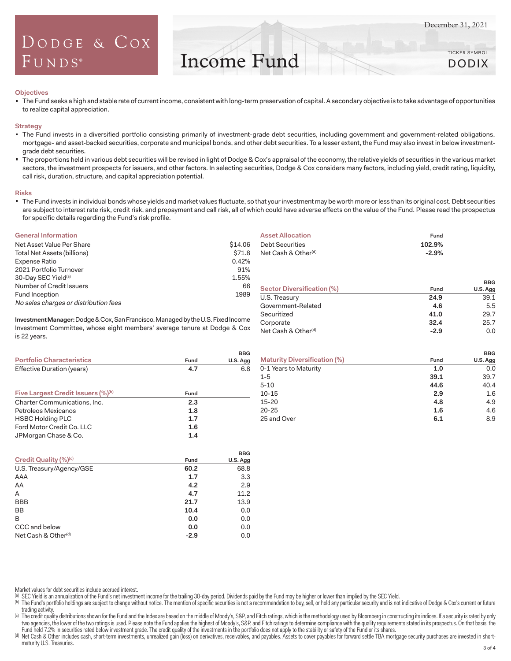## DODGE & COX FUNDS®

Income Fund

#### **Objectives**

The Fund seeks a high and stable rate of current income, consistent with long-term preservation of capital. A secondary objective is to take advantage of opportunities to realize capital appreciation.

#### **Strategy**

- " The Fund invests in a diversified portfolio consisting primarily of investment-grade debt securities, including government and government-related obligations, mortgage- and asset-backed securities, corporate and municipal bonds, and other debt securities. To a lesser extent, the Fund may also invest in below investmentgrade debt securities.
- The proportions held in various debt securities will be revised in light of Dodge & Cox's appraisal of the economy, the relative yields of securities in the various market sectors, the investment prospects for issuers, and other factors. In selecting securities, Dodge & Cox considers many factors, including yield, credit rating, liquidity, call risk, duration, structure, and capital appreciation potential.

#### **Risks**

" The Fund invests in individual bonds whose yields and market values fluctuate, so that your investment may be worth more or less than its original cost. Debt securities are subject to interest rate risk, credit risk, and prepayment and call risk, all of which could have adverse effects on the value of the Fund. Please read the prospectus for specific details regarding the Fund's risk profile.

#### **General Information**

| Net Asset Value Per Share             | \$14.06 |
|---------------------------------------|---------|
| Total Net Assets (billions)           | \$71.8  |
| Expense Ratio                         | 0.42%   |
| 2021 Portfolio Turnover               | 91%     |
| 30-Day SEC Yield <sup>(a)</sup>       | 1.55%   |
| Number of Credit Issuers              | 66      |
| Fund Inception                        | 1989    |
| No sales charges or distribution fees |         |

**Investment Manager:** Dodge & Cox, San Francisco. Managed by the U.S. Fixed Income Investment Committee, whose eight members' average tenure at Dodge & Cox is 22 years.

|                                                |      | <b>BBG</b> |  |
|------------------------------------------------|------|------------|--|
| <b>Portfolio Characteristics</b>               | Fund | U.S. Agg   |  |
| Effective Duration (years)                     | 4.7  | 6.8        |  |
| Five Largest Credit Issuers (%) <sup>(b)</sup> | Fund |            |  |
| Charter Communications, Inc.                   | 2.3  |            |  |
| Petroleos Mexicanos                            | 1.8  |            |  |
| <b>HSBC Holding PLC</b>                        | 1.7  |            |  |
| Ford Motor Credit Co. LLC                      | 1.6  |            |  |
| JPMorgan Chase & Co.                           | 1.4  |            |  |

|                                 |        | <b>BBG</b> |
|---------------------------------|--------|------------|
| Credit Quality (%)(c)           | Fund   | U.S. Agg   |
| U.S. Treasury/Agency/GSE        | 60.2   | 68.8       |
| AAA                             | 1.7    | 3.3        |
| AA                              | 4.2    | 2.9        |
| A                               | 4.7    | 11.2       |
| <b>BBB</b>                      | 21.7   | 13.9       |
| <b>BB</b>                       | 10.4   | 0.0        |
| B                               | 0.0    | 0.0        |
| CCC and below                   | 0.0    | 0.0        |
| Net Cash & Other <sup>(d)</sup> | $-2.9$ | 0.0        |

| <b>Asset Allocation</b>         | Fund    |                        |
|---------------------------------|---------|------------------------|
| <b>Debt Securities</b>          | 102.9%  |                        |
| Net Cash & Other <sup>(d)</sup> | $-2.9%$ |                        |
| Sector Diversification (%)      | Fund    | <b>BBG</b><br>U.S. Agg |
| U.S. Treasury                   | 24.9    | 39.1                   |
| Government-Related              | 4.6     | 5.5                    |
| Securitized                     | 41.0    | 29.7                   |
| Corporate                       | 32.4    | 25.7                   |
| Net Cash & Other <sup>(d)</sup> | $-2.9$  | 0.0                    |
|                                 |         |                        |

|                                     |      | <b>BBG</b> |
|-------------------------------------|------|------------|
| <b>Maturity Diversification (%)</b> | Fund | U.S. Agg   |
| 0-1 Years to Maturity               | 1.0  | 0.0        |
| $1 - 5$                             | 39.1 | 39.7       |
| $5 - 10$                            | 44.6 | 40.4       |
| $10 - 15$                           | 2.9  | 1.6        |
| 15-20                               | 4.8  | 4.9        |
| $20 - 25$                           | 1.6  | 4.6        |
| 25 and Over                         | 6.1  | 8.9        |

Market values for debt securities include accrued interest.

- (a) SEC Yield is an annualization of the Fund's net investment income for the trailing 30-day period. Dividends paid by the Fund may be higher or lower than implied by the SEC Yield.
- (b) The Fund's portfolio holdings are subject to change without notice. The mention of specific securities is not a recommendation to buy, sell, or hold any particular security and is not indicative of Dodge & Cox's curren trading activity.

(c) The credit quality distributions shown for the Fund and the Index are based on the middle of Moody's, S&P, and Fitch ratings, which is the methodology used by Bloomberg in constructing its indices. If a security is rat two agencies, the lower of the two ratings is used. Please note the Fund applies the highest of Moody's, S&P, and Fitch ratings to determine compliance with the quality requirements stated in its prospectus. On that basis, Fund held 7.2% in securities rated below investment grade. The credit quality of the investments in the portfolio does not apply to the stability or safety of the Fund or its shares.

(d) Net Cash & Other includes cash, short-term investments, unrealized gain (loss) on derivatives, receivables, and payables. Assets to cover payables for forward settle TBA mortgage security purchases are invested in shor maturity U.S. Treasuries.